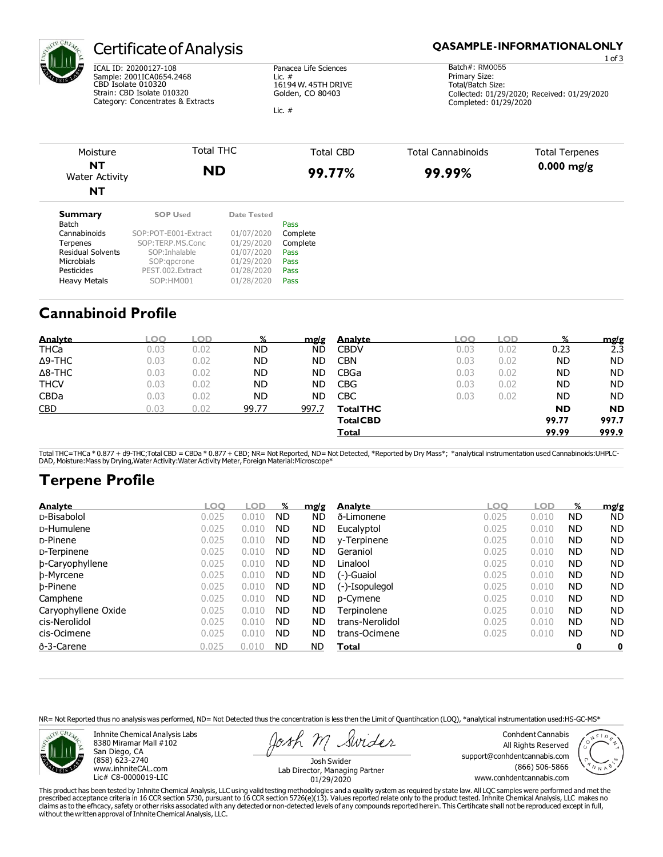

## Certificate of Analysis

ICAL ID: 20200127-108 Sample: 2001ICA0654.2468 CBD Isolate 010320 Strain: CBD Isolate 010320 Category: Concentrates & Extracts Panacea Life Sciences Lic. # 16194 W. 45TH DRIVE Golden, CO 80403

Lic. #

#### **QASAMPLE-INFORMATIONALONLY**

1 of 3 Batch#: RM0055 Primary Size: Total/Batch Size: Collected: 01/29/2020; Received: 01/29/2020 Completed: 01/29/2020

| Moisture<br><b>NT</b><br>Water Activity<br><b>NT</b> | Total THC<br><b>ND</b>                  |                           | Total CBD<br>99.77%          | Total Cannabinoids<br>99.99% | <b>Total Terpenes</b><br>$0.000$ mg/g |  |
|------------------------------------------------------|-----------------------------------------|---------------------------|------------------------------|------------------------------|---------------------------------------|--|
| <b>Summary</b><br>Batch<br>Connobinaida              | <b>SOP Used</b><br>COD-DOT E001 Evtract | Date Tested<br>0110712020 | Pass<br>Comula <sub>to</sub> |                              |                                       |  |

| DdlCII                   |                      |            | rass     |
|--------------------------|----------------------|------------|----------|
| Cannabinoids             | SOP:POT-E001-Extract | 01/07/2020 | Complete |
| Terpenes                 | SOP:TERP.MS.Conc     | 01/29/2020 | Complete |
| <b>Residual Solvents</b> | SOP: Inhalable       | 01/07/2020 | Pass     |
| <b>Microbials</b>        | SOP:gpcrone          | 01/29/2020 | Pass     |
| Pesticides               | PEST.002. Extract    | 01/28/2020 | Pass     |
| <b>Heavy Metals</b>      | SOP:HM001            | 01/28/2020 | Pass     |

## **Cannabinoid Profile**

| <b>Analyte</b> |      |      | %         | mg/g  | <b>Analyte</b>   |      |      |           | mg/g      |
|----------------|------|------|-----------|-------|------------------|------|------|-----------|-----------|
| <b>THCa</b>    | 0.03 | 0.02 | ND        | ND    | <b>CBDV</b>      | 0.03 | 0.02 | 0.23      | 2.3       |
| $\Delta$ 9-THC | 0.03 | 0.02 | ND        | ND.   | <b>CBN</b>       | 0.03 | 0.02 | <b>ND</b> | <b>ND</b> |
| $\Delta$ 8-THC | 0.03 | 0.02 | <b>ND</b> | ND.   | CBGa             | 0.03 | 0.02 | <b>ND</b> | <b>ND</b> |
| <b>THCV</b>    | 0.03 | 0.02 | <b>ND</b> | ND.   | <b>CBG</b>       | 0.03 | 0.02 | <b>ND</b> | <b>ND</b> |
| <b>CBDa</b>    | 0.03 | 0.02 | ND        | ND    | <b>CBC</b>       | 0.03 | 0.02 | <b>ND</b> | <b>ND</b> |
| <b>CBD</b>     | ).03 | 0.02 | 99.77     | 997.7 | <b>Total THC</b> |      |      | <b>ND</b> | <b>ND</b> |
|                |      |      |           |       | <b>Total CBD</b> |      |      | 99.77     | 997.7     |
|                |      |      |           |       | Total            |      |      | 99.99     | 999.9     |

Total THC=THCa \* 0.877 + d9-THC;Total CBD = CBDa \* 0.877 + CBD; NR= Not Reported, ND= Not Detected, \*Reported by Dry Mass\*; \*analytical instrumentation used Cannabinoids:UHPLC-<br>DAD, Moisture:Mass by Drying,Water Activity:

# **Terpene Profile**

| <b>Analyte</b>      | $\overline{O}$ | OD    | %         | mg/g      | <b>Analyte</b>  | .OO   | OD    | %         | mg/g      |
|---------------------|----------------|-------|-----------|-----------|-----------------|-------|-------|-----------|-----------|
| D-Bisabolol         | 0.025          | 0.010 | <b>ND</b> | ND        | ð-Limonene      | 0.025 | 0.010 | ND        | <b>ND</b> |
| D-Humulene          | 0.025          | 0.010 | <b>ND</b> | ND        | Eucalyptol      | 0.025 | 0.010 | <b>ND</b> | <b>ND</b> |
| D-Pinene            | 0.025          | 0.010 | <b>ND</b> | ND        | y-Terpinene     | 0.025 | 0.010 | <b>ND</b> | <b>ND</b> |
| D-Terpinene         | 0.025          | 0.010 | <b>ND</b> | ND.       | Geraniol        | 0.025 | 0.010 | <b>ND</b> | <b>ND</b> |
| b-Caryophyllene     | 0.025          | 0.010 | <b>ND</b> | <b>ND</b> | Linalool        | 0.025 | 0.010 | <b>ND</b> | <b>ND</b> |
| b-Myrcene           | 0.025          | 0.010 | <b>ND</b> | <b>ND</b> | (-)-Guaiol      | 0.025 | 0.010 | <b>ND</b> | <b>ND</b> |
| b-Pinene            | 0.025          | 0.010 | <b>ND</b> | ND.       | (-)-Isopulegol  | 0.025 | 0.010 | <b>ND</b> | <b>ND</b> |
| Camphene            | 0.025          | 0.010 | <b>ND</b> | ND        | p-Cymene        | 0.025 | 0.010 | <b>ND</b> | <b>ND</b> |
| Caryophyllene Oxide | 0.025          | 0.010 | <b>ND</b> | <b>ND</b> | Terpinolene     | 0.025 | 0.010 | <b>ND</b> | <b>ND</b> |
| cis-Nerolidol       | 0.025          | 0.010 | <b>ND</b> | <b>ND</b> | trans-Nerolidol | 0.025 | 0.010 | <b>ND</b> | <b>ND</b> |
| cis-Ocimene         | 0.025          | 0.010 | <b>ND</b> | ND.       | trans-Ocimene   | 0.025 | 0.010 | <b>ND</b> | <b>ND</b> |
| ð-3-Carene          | 0.025          | 0.010 | ND.       | <b>ND</b> | Total           |       |       | 0         | 0         |

NR= Not Reported thus no analysis was performed, ND= Not Detected thus the concentration is less then the Limit of Quantihcation (LOQ), \*analytical instrumentation used:HS-GC-MS\*



Inhnite Chemical Analysis Labs 8380 Miramar Mall #102 San Diego, CA (858) 623-2740 [www.inhniteCAL.com](http://www.inhnitecal.com/) Lic# C8-0000019-LIC

Swider

Conhdent Cannabis All Rights Reserved [support@conhdentcannabis.com](mailto:support@conhdentcannabis.com) (866) 506-5866 [www.conhdentcannabis.com](http://www.conhdentcannabis.com/)



Josh Swider Lab Director, Managing Partner 01/29/2020

This product has been tested by Inhnite Chemical Analysis, LLC using valid testing methodologies and a quality system as required by state law. All LQC samples were performed and met the<br>prescribed acceptance criteria in 1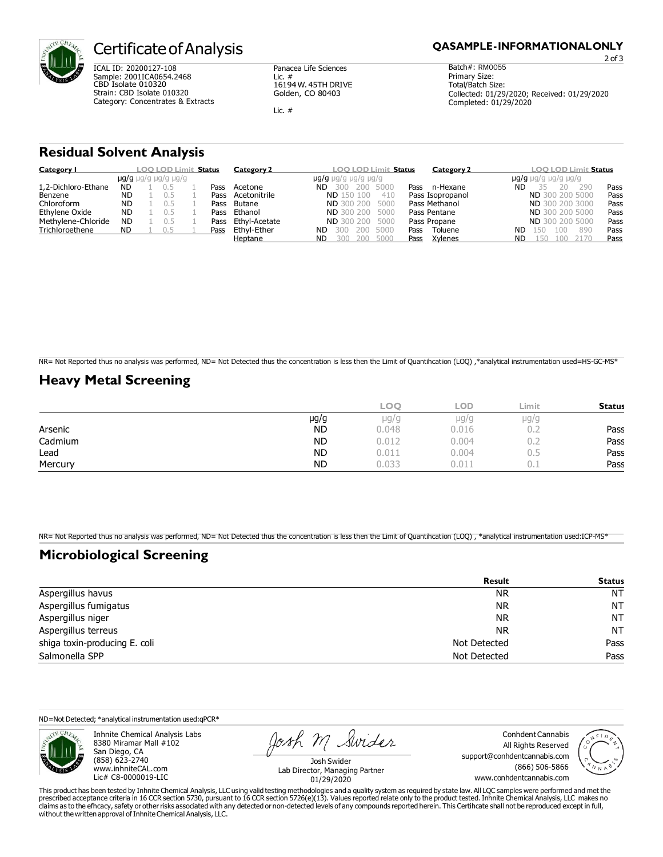

### Certificate of Analysis

ICAL ID: 20200127-108 Sample: 2001ICA0654.2468 CBD Isolate 010320 Strain: CBD Isolate 010320 Category: Concentrates & Extracts Panacea Life Sciences Lic. # 16194 W. 45TH DRIVE Golden, CO 80403

Lic. #

2 of 3

Batch#: RM0055 Primary Size: Total/Batch Size: Collected: 01/29/2020; Received: 01/29/2020 Completed: 01/29/2020

### **Residual Solvent Analysis**

| Category I          | <b>LOO LOD Limit</b><br><b>Status</b> |  |                                         |  | Category 2 | <b>LOO LOD Limit Status</b><br>Category 2 | <b>LOO LOD Limi</b><br>it <b>Status</b>      |                                         |      |
|---------------------|---------------------------------------|--|-----------------------------------------|--|------------|-------------------------------------------|----------------------------------------------|-----------------------------------------|------|
|                     |                                       |  | $\mu q/q$ $\mu q/q$ $\mu q/q$ $\mu q/q$ |  |            |                                           | $\mu q/q$ $\mu q/q$ $\mu q/q$ $\mu q/q$      | $\mu$ g/g $\mu$ q/g $\mu$ q/g $\mu$ g/g |      |
| 1,2-Dichloro-Ethane | <b>ND</b>                             |  |                                         |  | Pass       | Acetone                                   | 200 5000<br>ND.<br>n-Hexane<br>Pass          | 290<br>ND                               | Pass |
| Benzene             | <b>ND</b>                             |  |                                         |  | Pass       | Acetonitrile                              | 410<br><b>ND</b> 150 100<br>Pass Isopropanol | <b>ND</b> 300 200 5000                  | Pass |
| Chloroform          | <b>ND</b>                             |  |                                         |  | Pass       | Butane                                    | Pass Methanol<br><b>ND</b> 300 200<br>5000   | <b>ND</b> 300 200 3000                  | Pass |
| Ethylene Oxide      | <b>ND</b>                             |  |                                         |  | Pass       | Ethanol                                   | Pass Pentane<br><b>ND</b> 300 200<br>5000    | ND 300 200 5000                         | Pass |
| Methylene-Chloride  | <b>ND</b>                             |  |                                         |  | Pass       | Ethyl-Acetate                             | Pass Propane<br>200<br>5000<br><b>ND 300</b> | ND 300 200 5000                         | Pass |
| Trichloroethene     | ND                                    |  |                                         |  | Pass       | Ethyl-Ether                               | Toluene<br>200<br>5000<br>Pass<br>ND         | 890<br>ND<br>100<br>150                 | Pass |
|                     |                                       |  |                                         |  |            | Heptane                                   | Xylenes<br><b>ND</b><br>200<br>5000<br>Pass  | ND<br>,50                               | Pass |

NR= Not Reported thus no analysis was performed, ND= Not Detected thus the concentration is less then the Limit of Quantihcation (LOQ) ,\*analytical instrumentation used=HS-GC-MS\*

### **Heavy Metal Screening**

|         |           | <b>LOO</b> | LOD       | Limit                | <b>Status</b> |
|---------|-----------|------------|-----------|----------------------|---------------|
|         | $\mu$ g/g | µg/g       | $\mu$ g/g | µg/g                 |               |
| Arsenic | <b>ND</b> | 0.048      | 0.016     | $\cup$ . $\subseteq$ | Pass          |
| Cadmium | <b>ND</b> | 0.012      | 0.004     | $\cup$ . $\subseteq$ | Pass          |
| Lead    | <b>ND</b> | 0.011      | 0.004     | U.5                  | Pass          |
| Mercury | <b>ND</b> | 0.033      | 0.011     | ◡                    | Pass          |

NR= Not Reported thus no analysis was performed, ND= Not Detected thus the concentration is less then the Limit of Quantihcation (LOQ), \*analytical instrumentation used:ICP-MS\*

### **Microbiological Screening**

|                               | Result       | <b>Status</b> |
|-------------------------------|--------------|---------------|
| Aspergillus havus             | NR.          | <b>NT</b>     |
| Aspergillus fumigatus         | NR.          | <b>NT</b>     |
| Aspergillus niger             | NR.          | <b>NT</b>     |
| Aspergillus terreus           | <b>NR</b>    | <b>NT</b>     |
| shiga toxin-producing E. coli | Not Detected | Pass          |
| Salmonella SPP                | Not Detected | Pass          |

ND=Not Detected; \*analytical instrumentation used:qPCR\*



Inhnite Chemical Analysis Labs 8380 Miramar Mall #102 San Diego, CA (858) 623-2740 [www.inhniteCAL.com](http://www.inhnitecal.com/) Lic# C8-0000019-LIC

Josh M Swider

Conhdent Cannabis All Rights Reserved [support@conhdentcannabis.com](mailto:support@conhdentcannabis.com) (866) 506-5866 [www.conhdentcannabis.com](http://www.conhdentcannabis.com/)



Josh Swider Lab Director, Managing Partner 01/29/2020

This product has been tested by Inhnite Chemical Analysis, LLC using valid testing methodologies and a quality system as required by state law. All LQC samples were performed and met the prescribed acceptance criteria in 16 CCR section 5730, pursuant to 16 CCR section 5726(e)(13). Values reported relate only to the product tested. Inhnite Chemical Analysis, LLC makes no<br>claims as to the efficacy, safety o